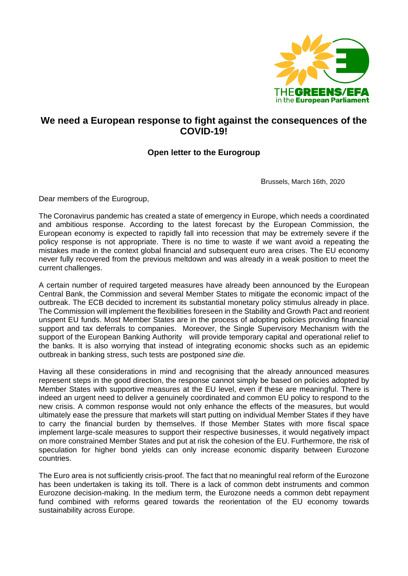

## **We need a European response to fight against the consequences of the COVID-19!**

## **Open letter to the Eurogroup**

Brussels, March 16th, 2020

Dear members of the Eurogroup,

The Coronavirus pandemic has created a state of emergency in Europe, which needs a coordinated and ambitious response. According to the latest forecast by the European Commission, the European economy is expected to rapidly fall into recession that may be extremely severe if the policy response is not appropriate. There is no time to waste if we want avoid a repeating the mistakes made in the context global financial and subsequent euro area crises. The EU economy never fully recovered from the previous meltdown and was already in a weak position to meet the current challenges.

A certain number of required targeted measures have already been announced by the European Central Bank, the Commission and several Member States to mitigate the economic impact of the outbreak. The ECB decided to increment its substantial monetary policy stimulus already in place. The Commission will implement the flexibilities foreseen in the Stability and Growth Pact and reorient unspent EU funds. Most Member States are in the process of adopting policies providing financial support and tax deferrals to companies. Moreover, the Single Supervisory Mechanism with the support of the European Banking Authority will provide temporary capital and operational relief to the banks. It is also worrying that instead of integrating economic shocks such as an epidemic outbreak in banking stress, such tests are postponed *sine die.* 

Having all these considerations in mind and recognising that the already announced measures represent steps in the good direction, the response cannot simply be based on policies adopted by Member States with supportive measures at the EU level, even if these are meaningful. There is indeed an urgent need to deliver a genuinely coordinated and common EU policy to respond to the new crisis. A common response would not only enhance the effects of the measures, but would ultimately ease the pressure that markets will start putting on individual Member States if they have to carry the financial burden by themselves. If those Member States with more fiscal space implement large-scale measures to support their respective businesses, it would negatively impact on more constrained Member States and put at risk the cohesion of the EU. Furthermore, the risk of speculation for higher bond yields can only increase economic disparity between Eurozone countries.

The Euro area is not sufficiently crisis-proof. The fact that no meaningful real reform of the Eurozone has been undertaken is taking its toll. There is a lack of common debt instruments and common Eurozone decision-making. In the medium term, the Eurozone needs a common debt repayment fund combined with reforms geared towards the reorientation of the EU economy towards sustainability across Europe.